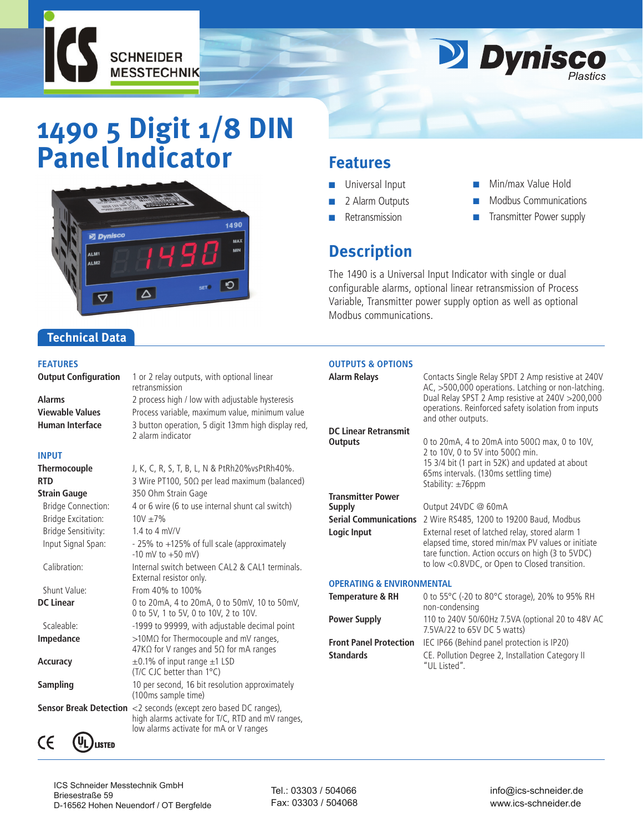



# **1490 5 Digit 1/8 DIN Panel Indicator**



retransmission

2 alarm indicator

Process variable, maximum value, minimum value

## **Features**

- Universal Input
- 2 Alarm Outputs
- **Retransmission**
- Min/max Value Hold
- Modbus Communications
- Transmitter Power supply

## **Description**

The 1490 is a Universal Input Indicator with single or dual configurable alarms, optional linear retransmission of Process Variable, Transmitter power supply option as well as optional Modbus communications.

#### **Technical Data**

#### **FEATURES**

**Output Configuration** 1 or 2 relay outputs, with optional linear

Alarms 2 process high / low with adjustable hysteresis<br>**Viewable Values** Process variable, maximum value, minimum value **Human Interface** 3 button operation, 5 digit 13mm high display red,

#### **INPUT**

| <b>Thermocouple</b>           | J, K, C, R, S, T, B, L, N & PtRh20%vsPtRh40%.                                                                                           |
|-------------------------------|-----------------------------------------------------------------------------------------------------------------------------------------|
| <b>RTD</b>                    | 3 Wire PT100, 50 $\Omega$ per lead maximum (balanced)                                                                                   |
| <b>Strain Gauge</b>           | 350 Ohm Strain Gage                                                                                                                     |
| <b>Bridge Connection:</b>     | 4 or 6 wire (6 to use internal shunt cal switch)                                                                                        |
| <b>Bridge Excitation:</b>     | $10V + 7\%$                                                                                                                             |
| Bridge Sensitivity:           | 1.4 to 4 mV/V                                                                                                                           |
| Input Signal Span:            | - 25% to +125% of full scale (approximately<br>$-10$ mV to $+50$ mV)                                                                    |
| Calibration:                  | Internal switch between CAL2 & CAL1 terminals.<br>External resistor only.                                                               |
| Shunt Value:                  | From 40% to 100%                                                                                                                        |
| <b>DC Linear</b>              | 0 to 20mA, 4 to 20mA, 0 to 50mV, 10 to 50mV,<br>0 to 5V, 1 to 5V, 0 to 10V, 2 to 10V.                                                   |
| Scaleable:                    | -1999 to 99999, with adjustable decimal point                                                                                           |
| <b>Impedance</b>              | $>10$ M $\Omega$ for Thermocouple and mV ranges,<br>47K $\Omega$ for V ranges and 5 $\Omega$ for mA ranges                              |
| <b>Accuracy</b>               | $\pm$ 0.1% of input range $\pm$ 1 LSD<br>(T/C CJC better than 1°C)                                                                      |
| Sampling                      | 10 per second, 16 bit resolution approximately<br>(100ms sample time)                                                                   |
| <b>Sensor Break Detection</b> | <2 seconds (except zero based DC ranges),<br>high alarms activate for T/C, RTD and mV ranges,<br>low alarms activate for mA or V ranges |
| CE<br><b>ISTED</b>            |                                                                                                                                         |

#### **Outputs & Options**

| Alarm Relays                         | Contacts Single Relay SPDT 2 Amp resistive at 240V<br>AC, >500,000 operations. Latching or non-latching.<br>Dual Relay SPST 2 Amp resistive at 240V > 200,000<br>operations. Reinforced safety isolation from inputs<br>and other outputs. |
|--------------------------------------|--------------------------------------------------------------------------------------------------------------------------------------------------------------------------------------------------------------------------------------------|
| <b>DC Linear Retransmit</b>          |                                                                                                                                                                                                                                            |
| Outputs                              | 0 to 20 mA, 4 to 20 mA into $500\Omega$ max, 0 to 10V,<br>2 to 10V, 0 to 5V into 500 $\Omega$ min.<br>15 3/4 bit (1 part in 52K) and updated at about<br>65ms intervals. (130ms settling time)<br>Stability: $\pm$ 76ppm                   |
| <b>Transmitter Power</b>             |                                                                                                                                                                                                                                            |
| Supply                               | Output 24VDC @ 60mA                                                                                                                                                                                                                        |
| <b>Serial Communications</b>         | 2 Wire RS485, 1200 to 19200 Baud, Modbus                                                                                                                                                                                                   |
| Logic Input                          | External reset of latched relay, stored alarm 1<br>elapsed time, stored min/max PV values or initiate<br>tare function. Action occurs on high (3 to 5VDC)<br>to low <0.8VDC, or Open to Closed transition.                                 |
| <b>OPERATING &amp; ENVIRONMENTAL</b> |                                                                                                                                                                                                                                            |
| Temperature & RH                     | 0 to 55°C (-20 to 80°C storage), 20% to 95% RH<br>non-condensing                                                                                                                                                                           |
| <b>Power Supply</b>                  | 110 to 240V 50/60Hz 7.5VA (optional 20 to 48V AC                                                                                                                                                                                           |

7.5VA/22 to 65V DC 5 watts) **Front Panel Protection** IEC IP66 (Behind panel protection is IP20) **Standards CE. Pollution Degree 2, Installation Category II** "UL Listed".

## ICS Schneider Messtechnik GmbH